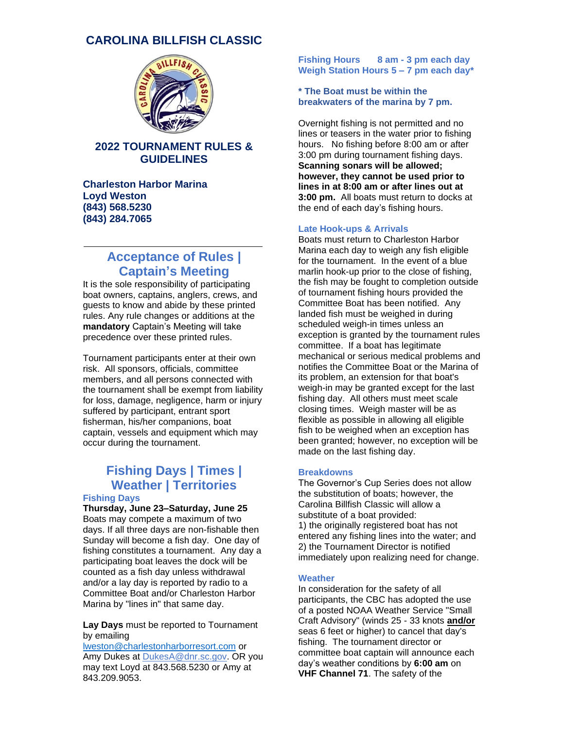# **CAROLINA BILLFISH CLASSIC**



### **2022 TOURNAMENT RULES & GUIDELINES**

**Charleston Harbor Marina Loyd Weston (843) 568.5230 (843) 284.7065**

# **Acceptance of Rules | Captain's Meeting**

It is the sole responsibility of participating boat owners, captains, anglers, crews, and guests to know and abide by these printed rules. Any rule changes or additions at the **mandatory** Captain's Meeting will take precedence over these printed rules.

Tournament participants enter at their own risk. All sponsors, officials, committee members, and all persons connected with the tournament shall be exempt from liability for loss, damage, negligence, harm or injury suffered by participant, entrant sport fisherman, his/her companions, boat captain, vessels and equipment which may occur during the tournament.

# **Fishing Days | Times | Weather | Territories**

# **Fishing Days**

**Thursday, June 23–Saturday, June 25** Boats may compete a maximum of two days. If all three days are non-fishable then Sunday will become a fish day. One day of fishing constitutes a tournament. Any day a participating boat leaves the dock will be counted as a fish day unless withdrawal and/or a lay day is reported by radio to a Committee Boat and/or Charleston Harbor Marina by "lines in" that same day.

### **Lay Days** must be reported to Tournament by emailing

[lweston@charlestonharborresort.com](mailto:lweston@charlestonharborresort.com) or Amy Dukes at **[DukesA@dnr.sc.gov.](mailto:DukesA@dnr.sc.gov)** OR you may text Loyd at 843.568.5230 or Amy at 843.209.9053.

**Fishing Hours 8 am - 3 pm each day Weigh Station Hours 5 – 7 pm each day\***

### **\* The Boat must be within the breakwaters of the marina by 7 pm.**

Overnight fishing is not permitted and no lines or teasers in the water prior to fishing hours. No fishing before 8:00 am or after 3:00 pm during tournament fishing days. **Scanning sonars will be allowed; however, they cannot be used prior to lines in at 8:00 am or after lines out at 3:00 pm.** All boats must return to docks at the end of each day's fishing hours.

### **Late Hook-ups & Arrivals**

Boats must return to Charleston Harbor Marina each day to weigh any fish eligible for the tournament. In the event of a blue marlin hook-up prior to the close of fishing, the fish may be fought to completion outside of tournament fishing hours provided the Committee Boat has been notified. Any landed fish must be weighed in during scheduled weigh-in times unless an exception is granted by the tournament rules committee. If a boat has legitimate mechanical or serious medical problems and notifies the Committee Boat or the Marina of its problem, an extension for that boat's weigh-in may be granted except for the last fishing day. All others must meet scale closing times. Weigh master will be as flexible as possible in allowing all eligible fish to be weighed when an exception has been granted; however, no exception will be made on the last fishing day.

### **Breakdowns**

The Governor's Cup Series does not allow the substitution of boats; however, the Carolina Billfish Classic will allow a substitute of a boat provided: 1) the originally registered boat has not entered any fishing lines into the water; and 2) the Tournament Director is notified immediately upon realizing need for change.

### **Weather**

In consideration for the safety of all participants, the CBC has adopted the use of a posted NOAA Weather Service "Small Craft Advisory" (winds 25 - 33 knots **and/or**  seas 6 feet or higher) to cancel that day's fishing. The tournament director or committee boat captain will announce each day's weather conditions by **6:00 am** on **VHF Channel 71**. The safety of the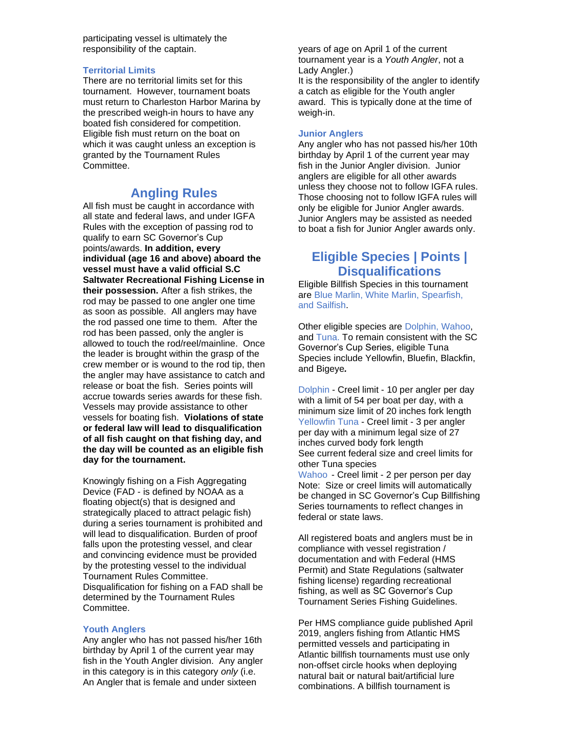participating vessel is ultimately the responsibility of the captain.

### **Territorial Limits**

There are no territorial limits set for this tournament. However, tournament boats must return to Charleston Harbor Marina by the prescribed weigh-in hours to have any boated fish considered for competition. Eligible fish must return on the boat on which it was caught unless an exception is granted by the Tournament Rules Committee.

## **Angling Rules**

All fish must be caught in accordance with all state and federal laws, and under IGFA Rules with the exception of passing rod to qualify to earn SC Governor's Cup points/awards. **In addition, every individual (age 16 and above) aboard the vessel must have a valid official S.C Saltwater Recreational Fishing License in their possession.** After a fish strikes, the rod may be passed to one angler one time as soon as possible. All anglers may have the rod passed one time to them. After the rod has been passed, only the angler is allowed to touch the rod/reel/mainline. Once the leader is brought within the grasp of the crew member or is wound to the rod tip, then the angler may have assistance to catch and release or boat the fish. Series points will accrue towards series awards for these fish. Vessels may provide assistance to other vessels for boating fish. **Violations of state or federal law will lead to disqualification of all fish caught on that fishing day, and the day will be counted as an eligible fish day for the tournament.**

Knowingly fishing on a Fish Aggregating Device (FAD - is defined by NOAA as a floating object(s) that is designed and strategically placed to attract pelagic fish) during a series tournament is prohibited and will lead to disqualification. Burden of proof falls upon the protesting vessel, and clear and convincing evidence must be provided by the protesting vessel to the individual Tournament Rules Committee. Disqualification for fishing on a FAD shall be determined by the Tournament Rules Committee.

#### **Youth Anglers**

Any angler who has not passed his/her 16th birthday by April 1 of the current year may fish in the Youth Angler division. Any angler in this category is in this category *only* (i.e. An Angler that is female and under sixteen

years of age on April 1 of the current tournament year is a *Youth Angler*, not a Lady Angler.)

It is the responsibility of the angler to identify a catch as eligible for the Youth angler award. This is typically done at the time of weigh-in.

#### **Junior Anglers**

Any angler who has not passed his/her 10th birthday by April 1 of the current year may fish in the Junior Angler division. Junior anglers are eligible for all other awards unless they choose not to follow IGFA rules. Those choosing not to follow IGFA rules will only be eligible for Junior Angler awards. Junior Anglers may be assisted as needed to boat a fish for Junior Angler awards only.

# **Eligible Species | Points | Disqualifications**

Eligible Billfish Species in this tournament are Blue Marlin, White Marlin, Spearfish, and Sailfish.

Other eligible species are Dolphin, Wahoo, and Tuna. To remain consistent with the SC Governor's Cup Series, eligible Tuna Species include Yellowfin, Bluefin, Blackfin, and Bigeye*.* 

Dolphin - Creel limit - 10 per angler per day with a limit of 54 per boat per day, with a minimum size limit of 20 inches fork length Yellowfin Tuna - Creel limit - 3 per angler per day with a minimum legal size of 27 inches curved body fork length See current federal size and creel limits for other Tuna species

Wahoo - Creel limit - 2 per person per day Note: Size or creel limits will automatically be changed in SC Governor's Cup Billfishing Series tournaments to reflect changes in federal or state laws.

All registered boats and anglers must be in compliance with vessel registration / documentation and with Federal (HMS Permit) and State Regulations (saltwater fishing license) regarding recreational fishing, as well as SC Governor's Cup Tournament Series Fishing Guidelines.

Per HMS compliance guide published April 2019, anglers fishing from Atlantic HMS permitted vessels and participating in Atlantic billfish tournaments must use only non-offset circle hooks when deploying natural bait or natural bait/artificial lure combinations. A billfish tournament is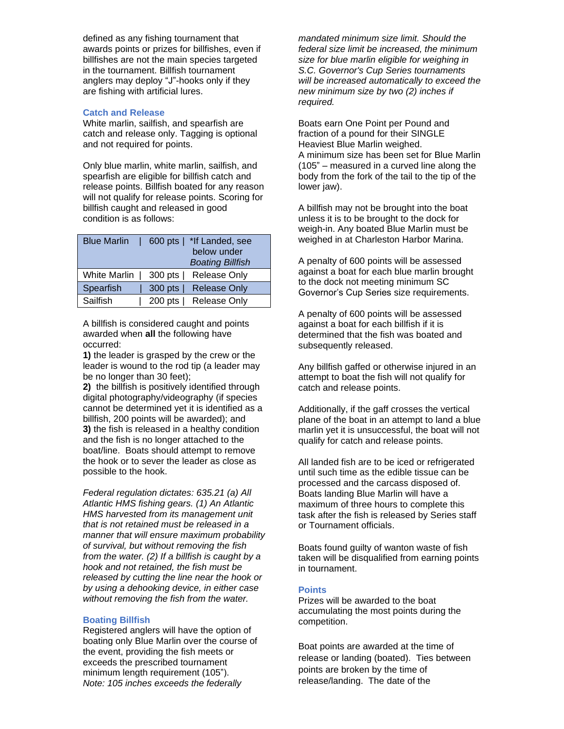defined as any fishing tournament that awards points or prizes for billfishes, even if billfishes are not the main species targeted in the tournament. Billfish tournament anglers may deploy "J"-hooks only if they are fishing with artificial lures.

#### **Catch and Release**

White marlin, sailfish, and spearfish are catch and release only. Tagging is optional and not required for points.

Only blue marlin, white marlin, sailfish, and spearfish are eligible for billfish catch and release points. Billfish boated for any reason will not qualify for release points. Scoring for billfish caught and released in good condition is as follows:

| <b>Blue Marlin</b>  | 600 pts   *If Landed, see<br>below under<br><b>Boating Billfish</b> |
|---------------------|---------------------------------------------------------------------|
| <b>White Marlin</b> | 300 pts<br>Release Only                                             |
| Spearfish           | <b>Release Only</b><br>300 pts                                      |
| Sailfish            | <b>Release Only</b><br>$200$ pts                                    |
|                     |                                                                     |

A billfish is considered caught and points awarded when **all** the following have occurred:

**1)** the leader is grasped by the crew or the leader is wound to the rod tip (a leader may be no longer than 30 feet);

**2)** the billfish is positively identified through digital photography/videography (if species cannot be determined yet it is identified as a billfish, 200 points will be awarded); and **3)** the fish is released in a healthy condition and the fish is no longer attached to the boat/line. Boats should attempt to remove the hook or to sever the leader as close as possible to the hook.

*Federal regulation dictates: 635.21 (a) All Atlantic HMS fishing gears. (1) An Atlantic HMS harvested from its management unit that is not retained must be released in a manner that will ensure maximum probability of survival, but without removing the fish from the water. (2) If a billfish is caught by a hook and not retained, the fish must be released by cutting the line near the hook or by using a dehooking device, in either case without removing the fish from the water.*

#### **Boating Billfish**

Registered anglers will have the option of boating only Blue Marlin over the course of the event, providing the fish meets or exceeds the prescribed tournament minimum length requirement (105"). *Note: 105 inches exceeds the federally* 

*mandated minimum size limit. Should the federal size limit be increased, the minimum size for blue marlin eligible for weighing in S.C. Governor's Cup Series tournaments will be increased automatically to exceed the new minimum size by two (2) inches if required.*

Boats earn One Point per Pound and fraction of a pound for their SINGLE Heaviest Blue Marlin weighed. A minimum size has been set for Blue Marlin (105" – measured in a curved line along the body from the fork of the tail to the tip of the lower jaw).

A billfish may not be brought into the boat unless it is to be brought to the dock for weigh-in. Any boated Blue Marlin must be weighed in at Charleston Harbor Marina.

A penalty of 600 points will be assessed against a boat for each blue marlin brought to the dock not meeting minimum SC Governor's Cup Series size requirements.

A penalty of 600 points will be assessed against a boat for each billfish if it is determined that the fish was boated and subsequently released.

Any billfish gaffed or otherwise injured in an attempt to boat the fish will not qualify for catch and release points.

Additionally, if the gaff crosses the vertical plane of the boat in an attempt to land a blue marlin yet it is unsuccessful, the boat will not qualify for catch and release points.

All landed fish are to be iced or refrigerated until such time as the edible tissue can be processed and the carcass disposed of. Boats landing Blue Marlin will have a maximum of three hours to complete this task after the fish is released by Series staff or Tournament officials.

Boats found guilty of wanton waste of fish taken will be disqualified from earning points in tournament.

### **Points**

Prizes will be awarded to the boat accumulating the most points during the competition.

Boat points are awarded at the time of release or landing (boated). Ties between points are broken by the time of release/landing. The date of the